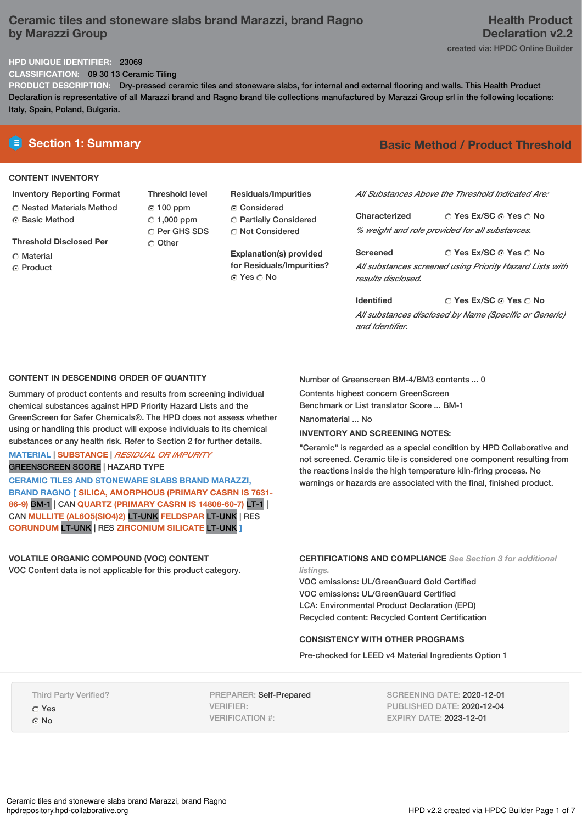# **Ceramic tiles and stoneware slabs brand Marazzi, brand Ragno by Marazzi Group**

## **HPD UNIQUE IDENTIFIER:** 23069

**CLASSIFICATION:** 09 30 13 Ceramic Tiling

**PRODUCT DESCRIPTION:** Dry-pressed ceramic tiles and stoneware slabs, for internal and external flooring and walls. This Health Product Declaration is representative of all Marazzi brand and Ragno brand tile collections manufactured by Marazzi Group srl in the following locations: Italy, Spain, Poland, Bulgaria.

# **CONTENT INVENTORY**

## **Inventory Reporting Format**

**C** Nested Materials Method ⊙ Basic Method

**Threshold Disclosed Per**

- C Material
- **G** Product

**Threshold level** 100 ppm  $\degree$  1,000 ppm C Per GHS SDS Other

# **Residuals/Impurities** Considered

Partially Considered C Not Considered

**Explanation(s) provided for Residuals/Impurities?** © Yes ○ No

# **E** Section 1: Summary **Basic Method / Product Threshold**

*All Substances Above the Threshold Indicated Are:*

**Yes Ex/SC Yes No Characterized** *% weight and role provided for all substances.*

**Yes Ex/SC Yes No Screened** *All substances screened using Priority Hazard Lists with results disclosed.*

**Yes Ex/SC Yes No Identified** *All substances disclosed by Name (Specific or Generic) and Identifier.*

## **CONTENT IN DESCENDING ORDER OF QUANTITY**

Summary of product contents and results from screening individual chemical substances against HPD Priority Hazard Lists and the GreenScreen for Safer Chemicals®. The HPD does not assess whether using or handling this product will expose individuals to its chemical substances or any health risk. Refer to Section 2 for further details.

### **MATERIAL** | **SUBSTANCE** | *RESIDUAL OR IMPURITY* GREENSCREEN SCORE | HAZARD TYPE

**CERAMIC TILES AND STONEWARE SLABS BRAND MARAZZI, BRAND RAGNO [ SILICA, AMORPHOUS (PRIMARY CASRN IS 7631- 86-9)** BM-1 | CAN **QUARTZ (PRIMARY CASRN IS 14808-60-7)** LT-1 | CAN **MULLITE (AL6O5(SIO4)2)** LT-UNK **FELDSPAR** LT-UNK | RES **CORUNDUM** LT-UNK | RES **ZIRCONIUM SILICATE** LT-UNK **]**

# **VOLATILE ORGANIC COMPOUND (VOC) CONTENT**

VOC Content data is not applicable for this product category.

Number of Greenscreen BM-4/BM3 contents ... 0

Contents highest concern GreenScreen Benchmark or List translator Score ... BM-1

Nanomaterial ... No

### **INVENTORY AND SCREENING NOTES:**

"Ceramic" is regarded as a special condition by HPD Collaborative and not screened. Ceramic tile is considered one component resulting from the reactions inside the high temperature kiln-firing process. No warnings or hazards are associated with the final, finished product.

**CERTIFICATIONS AND COMPLIANCE** *See Section 3 for additional listings.*

VOC emissions: UL/GreenGuard Gold Certified VOC emissions: UL/GreenGuard Certified LCA: Environmental Product Declaration (EPD) Recycled content: Recycled Content Certification

### **CONSISTENCY WITH OTHER PROGRAMS**

Pre-checked for LEED v4 Material Ingredients Option 1

Third Party Verified?

Yes G No

PREPARER: Self-Prepared VERIFIER: VERIFICATION #:

SCREENING DATE: 2020-12-01 PUBLISHED DATE: 2020-12-04 EXPIRY DATE: 2023-12-01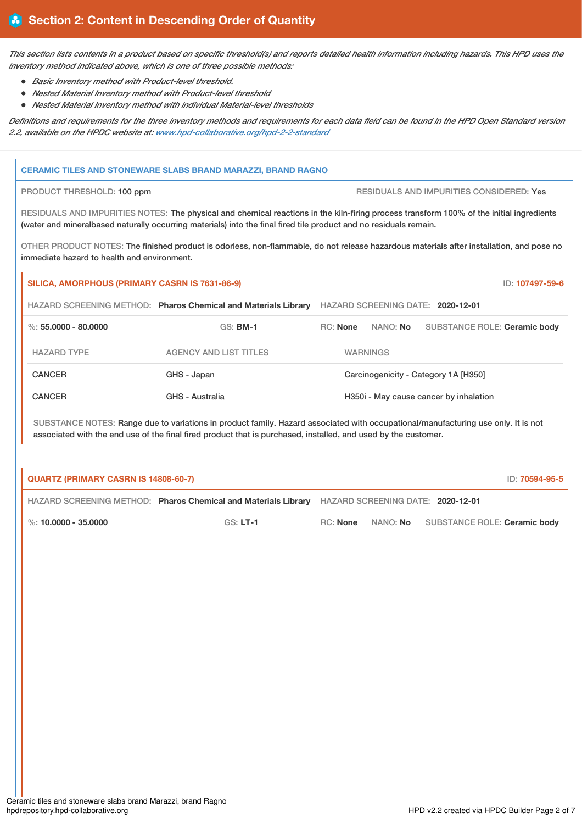This section lists contents in a product based on specific threshold(s) and reports detailed health information including hazards. This HPD uses the *inventory method indicated above, which is one of three possible methods:*

- *Basic Inventory method with Product-level threshold.*
- *Nested Material Inventory method with Product-level threshold*
- *Nested Material Inventory method with individual Material-level thresholds*

Definitions and requirements for the three inventory methods and requirements for each data field can be found in the HPD Open Standard version *2.2, available on the HPDC website at: [www.hpd-collaborative.org/hpd-2-2-standard](https://www.hpd-collaborative.org/hpd-2-2-standard)*

### **CERAMIC TILES AND STONEWARE SLABS BRAND MARAZZI, BRAND RAGNO**

PRODUCT THRESHOLD: 100 ppm RESIDUALS AND IMPURITIES CONSIDERED: Yes

RESIDUALS AND IMPURITIES NOTES: The physical and chemical reactions in the kiln-firing process transform 100% of the initial ingredients (water and mineralbased naturally occurring materials) into the final fired tile product and no residuals remain.

OTHER PRODUCT NOTES: The finished product is odorless, non-flammable, do not release hazardous materials after installation, and pose no immediate hazard to health and environment.

| SILICA, AMORPHOUS (PRIMARY CASRN IS 7631-86-9) |                                                                |            |                 | ID: 107497-59-6                        |
|------------------------------------------------|----------------------------------------------------------------|------------|-----------------|----------------------------------------|
|                                                | HAZARD SCREENING METHOD: Pharos Chemical and Materials Library |            |                 | HAZARD SCREENING DATE: 2020-12-01      |
| %: $55.0000 - 80.0000$                         | $GS:$ BM-1                                                     | $RC:$ None | NANO: No        | SUBSTANCE ROLE: Ceramic body           |
| <b>HAZARD TYPE</b>                             | <b>AGENCY AND LIST TITLES</b>                                  |            | <b>WARNINGS</b> |                                        |
| <b>CANCER</b>                                  | GHS - Japan                                                    |            |                 | Carcinogenicity - Category 1A [H350]   |
| <b>CANCER</b>                                  | GHS - Australia                                                |            |                 | H350i - May cause cancer by inhalation |

SUBSTANCE NOTES: Range due to variations in product family. Hazard associated with occupational/manufacturing use only. It is not associated with the end use of the final fired product that is purchased, installed, and used by the customer.

| <b>QUARTZ (PRIMARY CASRN IS 14808-60-7)</b> |                                                                                                  |                 |  |                                       |
|---------------------------------------------|--------------------------------------------------------------------------------------------------|-----------------|--|---------------------------------------|
|                                             | HAZARD SCREENING METHOD: Pharos Chemical and Materials Library HAZARD SCREENING DATE: 2020-12-01 |                 |  |                                       |
| $\%$ : 10.0000 - 35.0000                    | $GS: LT-1$                                                                                       | RC: <b>None</b> |  | NANO: No SUBSTANCE ROLE: Ceramic body |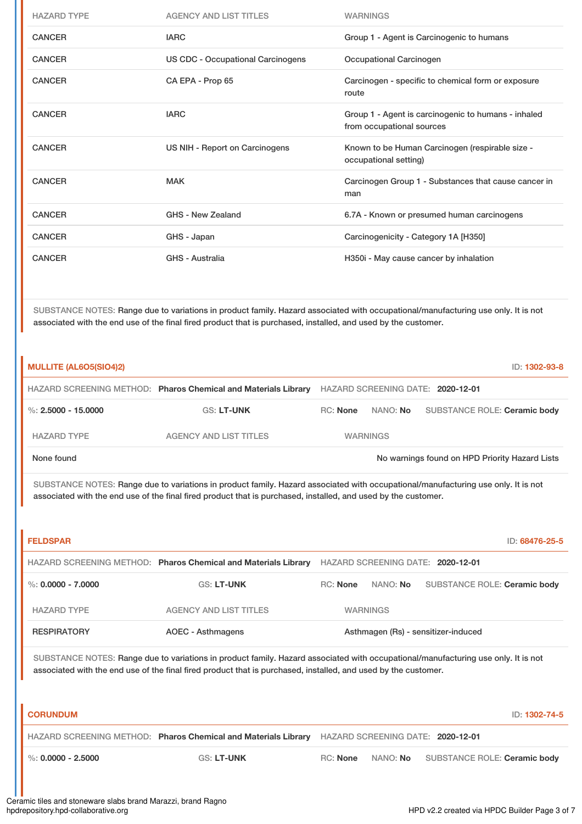| <b>HAZARD TYPE</b> | <b>AGENCY AND LIST TITLES</b>            | <b>WARNINGS</b>                                                                  |
|--------------------|------------------------------------------|----------------------------------------------------------------------------------|
| <b>CANCER</b>      | <b>IARC</b>                              | Group 1 - Agent is Carcinogenic to humans                                        |
| <b>CANCER</b>      | <b>US CDC - Occupational Carcinogens</b> | Occupational Carcinogen                                                          |
| <b>CANCER</b>      | CA EPA - Prop 65                         | Carcinogen - specific to chemical form or exposure<br>route                      |
| <b>CANCER</b>      | <b>IARC</b>                              | Group 1 - Agent is carcinogenic to humans - inhaled<br>from occupational sources |
| <b>CANCER</b>      | US NIH - Report on Carcinogens           | Known to be Human Carcinogen (respirable size -<br>occupational setting)         |
| <b>CANCER</b>      | <b>MAK</b>                               | Carcinogen Group 1 - Substances that cause cancer in<br>man                      |
| <b>CANCER</b>      | GHS - New Zealand                        | 6.7A - Known or presumed human carcinogens                                       |
| <b>CANCER</b>      | GHS - Japan                              | Carcinogenicity - Category 1A [H350]                                             |
| <b>CANCER</b>      | GHS - Australia                          | H350i - May cause cancer by inhalation                                           |
|                    |                                          |                                                                                  |

SUBSTANCE NOTES: Range due to variations in product family. Hazard associated with occupational/manufacturing use only. It is not associated with the end use of the final fired product that is purchased, installed, and used by the customer.

| <b>MULLITE (AL6O5(SIO4)2)</b> |                                                                |          |                 | ID: 1302-93-8                                  |
|-------------------------------|----------------------------------------------------------------|----------|-----------------|------------------------------------------------|
|                               | HAZARD SCREENING METHOD: Pharos Chemical and Materials Library |          |                 | HAZARD SCREENING DATE: 2020-12-01              |
| %: $2.5000 - 15.0000$         | <b>GS: LT-UNK</b>                                              | RC: None | NANO: <b>No</b> | SUBSTANCE ROLE: Ceramic body                   |
| <b>HAZARD TYPE</b>            | AGENCY AND LIST TITLES                                         |          | <b>WARNINGS</b> |                                                |
| None found                    |                                                                |          |                 | No warnings found on HPD Priority Hazard Lists |

SUBSTANCE NOTES: Range due to variations in product family. Hazard associated with occupational/manufacturing use only. It is not associated with the end use of the final fired product that is purchased, installed, and used by the customer.

| <b>FELDSPAR</b>      |                                                                |                                     |                 | ID: 68476-25-5                    |
|----------------------|----------------------------------------------------------------|-------------------------------------|-----------------|-----------------------------------|
|                      | HAZARD SCREENING METHOD: Pharos Chemical and Materials Library |                                     |                 | HAZARD SCREENING DATE: 2020-12-01 |
| %: $0.0000 - 7.0000$ | <b>GS: LT-UNK</b>                                              | <b>RC:</b> None                     | NANO: No        | SUBSTANCE ROLE: Ceramic body      |
| <b>HAZARD TYPE</b>   | AGENCY AND LIST TITLES                                         |                                     | <b>WARNINGS</b> |                                   |
| <b>RESPIRATORY</b>   | AOEC - Asthmagens                                              | Asthmagen (Rs) - sensitizer-induced |                 |                                   |

SUBSTANCE NOTES: Range due to variations in product family. Hazard associated with occupational/manufacturing use only. It is not associated with the end use of the final fired product that is purchased, installed, and used by the customer.

| <b>CORUNDUM</b>        |                   |                                                                                                  |  | ID: 1302-74-5                         |
|------------------------|-------------------|--------------------------------------------------------------------------------------------------|--|---------------------------------------|
|                        |                   | HAZARD SCREENING METHOD: Pharos Chemical and Materials Library HAZARD SCREENING DATE: 2020-12-01 |  |                                       |
| $\%$ : 0.0000 - 2.5000 | <b>GS: LT-UNK</b> | RC: <b>None</b>                                                                                  |  | NANO: No SUBSTANCE ROLE: Ceramic body |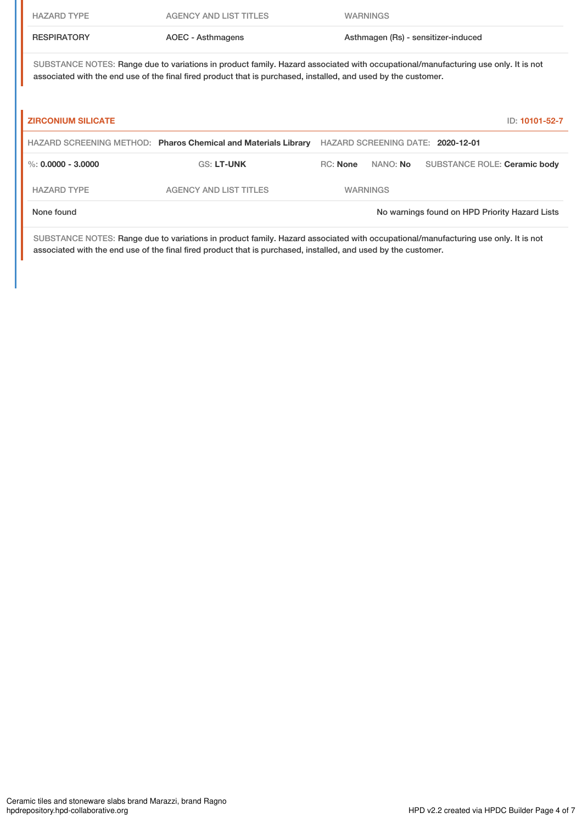| <b>HAZARD TYPE</b>        | AGENCY AND LIST TITLES                                                                                                                                                                                                                              |                 | <b>WARNINGS</b> |                                     |
|---------------------------|-----------------------------------------------------------------------------------------------------------------------------------------------------------------------------------------------------------------------------------------------------|-----------------|-----------------|-------------------------------------|
| <b>RESPIRATORY</b>        | AOEC - Asthmagens                                                                                                                                                                                                                                   |                 |                 | Asthmagen (Rs) - sensitizer-induced |
|                           | SUBSTANCE NOTES: Range due to variations in product family. Hazard associated with occupational/manufacturing use only. It is not<br>associated with the end use of the final fired product that is purchased, installed, and used by the customer. |                 |                 |                                     |
| <b>ZIRCONIUM SILICATE</b> |                                                                                                                                                                                                                                                     |                 |                 | ID: 10101-52-7                      |
|                           | HAZARD SCREENING METHOD: Pharos Chemical and Materials Library                                                                                                                                                                                      |                 |                 |                                     |
|                           |                                                                                                                                                                                                                                                     |                 |                 | HAZARD SCREENING DATE: 2020-12-01   |
| %: $0.0000 - 3.0000$      | <b>GS: LT-UNK</b>                                                                                                                                                                                                                                   | <b>RC: None</b> | NANO: <b>No</b> | SUBSTANCE ROLE: Ceramic body        |
| <b>HAZARD TYPE</b>        | <b>AGENCY AND LIST TITLES</b>                                                                                                                                                                                                                       |                 | <b>WARNINGS</b> |                                     |

SUBSTANCE NOTES: Range due to variations in product family. Hazard associated with occupational/manufacturing use only. It is not associated with the end use of the final fired product that is purchased, installed, and used by the customer.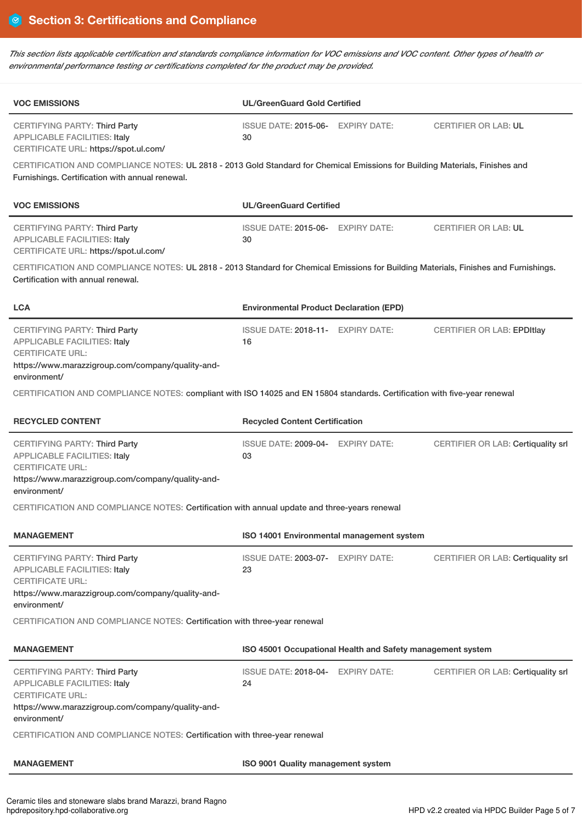This section lists applicable certification and standards compliance information for VOC emissions and VOC content. Other types of health or *environmental performance testing or certifications completed for the product may be provided.*

| <b>VOC EMISSIONS</b>                                                                                                                                                                                                                                                        | <b>UL/GreenGuard Gold Certified</b>                        |  |                                           |  |
|-----------------------------------------------------------------------------------------------------------------------------------------------------------------------------------------------------------------------------------------------------------------------------|------------------------------------------------------------|--|-------------------------------------------|--|
| <b>CERTIFYING PARTY: Third Party</b><br><b>APPLICABLE FACILITIES: Italy</b><br>CERTIFICATE URL: https://spot.ul.com/                                                                                                                                                        | ISSUE DATE: 2015-06- EXPIRY DATE:<br>30                    |  | <b>CERTIFIER OR LAB: UL</b>               |  |
| CERTIFICATION AND COMPLIANCE NOTES: UL 2818 - 2013 Gold Standard for Chemical Emissions for Building Materials, Finishes and<br>Furnishings. Certification with annual renewal.                                                                                             |                                                            |  |                                           |  |
| <b>VOC EMISSIONS</b>                                                                                                                                                                                                                                                        | <b>UL/GreenGuard Certified</b>                             |  |                                           |  |
| <b>CERTIFYING PARTY: Third Party</b><br><b>APPLICABLE FACILITIES: Italy</b><br>CERTIFICATE URL: https://spot.ul.com/                                                                                                                                                        | ISSUE DATE: 2015-06- EXPIRY DATE:<br>30                    |  | <b>CERTIFIER OR LAB: UL</b>               |  |
| CERTIFICATION AND COMPLIANCE NOTES: UL 2818 - 2013 Standard for Chemical Emissions for Building Materials, Finishes and Furnishings.<br>Certification with annual renewal.                                                                                                  |                                                            |  |                                           |  |
| <b>LCA</b>                                                                                                                                                                                                                                                                  | <b>Environmental Product Declaration (EPD)</b>             |  |                                           |  |
| <b>CERTIFYING PARTY: Third Party</b><br><b>APPLICABLE FACILITIES: Italy</b><br><b>CERTIFICATE URL:</b><br>https://www.marazzigroup.com/company/quality-and-<br>environment/                                                                                                 | ISSUE DATE: 2018-11- EXPIRY DATE:<br>16                    |  | <b>CERTIFIER OR LAB: EPDItlay</b>         |  |
| CERTIFICATION AND COMPLIANCE NOTES: compliant with ISO 14025 and EN 15804 standards. Certification with five-year renewal                                                                                                                                                   |                                                            |  |                                           |  |
| <b>RECYCLED CONTENT</b>                                                                                                                                                                                                                                                     | <b>Recycled Content Certification</b>                      |  |                                           |  |
| <b>CERTIFYING PARTY: Third Party</b><br><b>APPLICABLE FACILITIES: Italy</b><br><b>CERTIFICATE URL:</b><br>https://www.marazzigroup.com/company/quality-and-<br>environment/<br>CERTIFICATION AND COMPLIANCE NOTES: Certification with annual update and three-years renewal | ISSUE DATE: 2009-04- EXPIRY DATE:<br>03                    |  | CERTIFIER OR LAB: Certiquality srl        |  |
| <b>MANAGEMENT</b>                                                                                                                                                                                                                                                           | ISO 14001 Environmental management system                  |  |                                           |  |
| <b>CERTIFYING PARTY: Third Party</b><br><b>APPLICABLE FACILITIES: Italy</b><br><b>CERTIFICATE URL:</b><br>https://www.marazzigroup.com/company/quality-and-<br>environment/<br>CERTIFICATION AND COMPLIANCE NOTES: Certification with three-year renewal                    | ISSUE DATE: 2003-07- EXPIRY DATE:<br>23                    |  | <b>CERTIFIER OR LAB: Certiquality srl</b> |  |
| <b>MANAGEMENT</b>                                                                                                                                                                                                                                                           | ISO 45001 Occupational Health and Safety management system |  |                                           |  |
| <b>CERTIFYING PARTY: Third Party</b><br><b>APPLICABLE FACILITIES: Italy</b><br><b>CERTIFICATE URL:</b><br>https://www.marazzigroup.com/company/quality-and-<br>environment/                                                                                                 | ISSUE DATE: 2018-04- EXPIRY DATE:<br>24                    |  | CERTIFIER OR LAB: Certiquality srl        |  |
| CERTIFICATION AND COMPLIANCE NOTES: Certification with three-year renewal                                                                                                                                                                                                   |                                                            |  |                                           |  |
| <b>MANAGEMENT</b>                                                                                                                                                                                                                                                           | ISO 9001 Quality management system                         |  |                                           |  |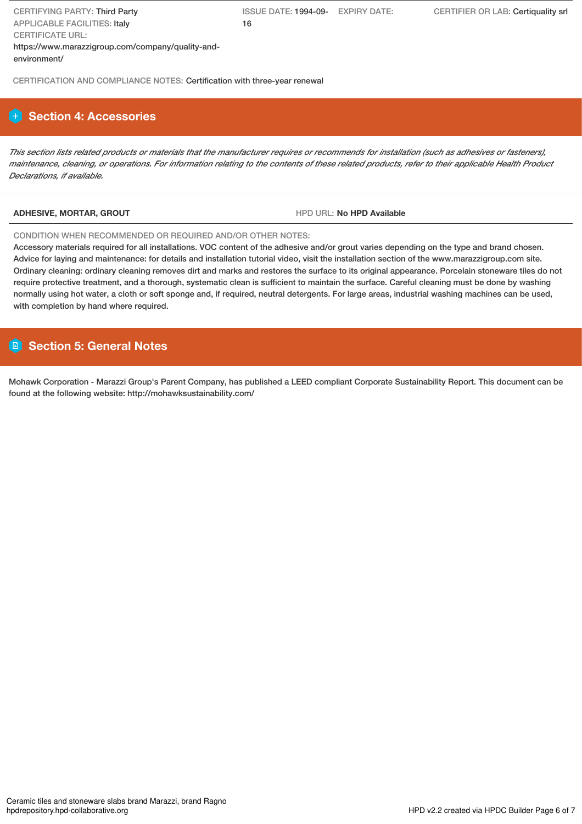ISSUE DATE: 1994-09- EXPIRY DATE: 16

CERTIFICATION AND COMPLIANCE NOTES: Certification with three-year renewal

# **Section 4: Accessories**

This section lists related products or materials that the manufacturer requires or recommends for installation (such as adhesives or fasteners), maintenance, cleaning, or operations. For information relating to the contents of these related products, refer to their applicable Health Product *Declarations, if available.*

## **ADHESIVE, MORTAR, GROUT** HPD URL: **No HPD Available**

### CONDITION WHEN RECOMMENDED OR REQUIRED AND/OR OTHER NOTES:

Accessory materials required for all installations. VOC content of the adhesive and/or grout varies depending on the type and brand chosen. Advice for laying and maintenance: for details and installation tutorial video, visit the installation section of the www.marazzigroup.com site. Ordinary cleaning: ordinary cleaning removes dirt and marks and restores the surface to its original appearance. Porcelain stoneware tiles do not require protective treatment, and a thorough, systematic clean is sufficient to maintain the surface. Careful cleaning must be done by washing normally using hot water, a cloth or soft sponge and, if required, neutral detergents. For large areas, industrial washing machines can be used, with completion by hand where required.

# **Section 5: General Notes**

Mohawk Corporation - Marazzi Group's Parent Company, has published a LEED compliant Corporate Sustainability Report. This document can be found at the following website: http://mohawksustainability.com/